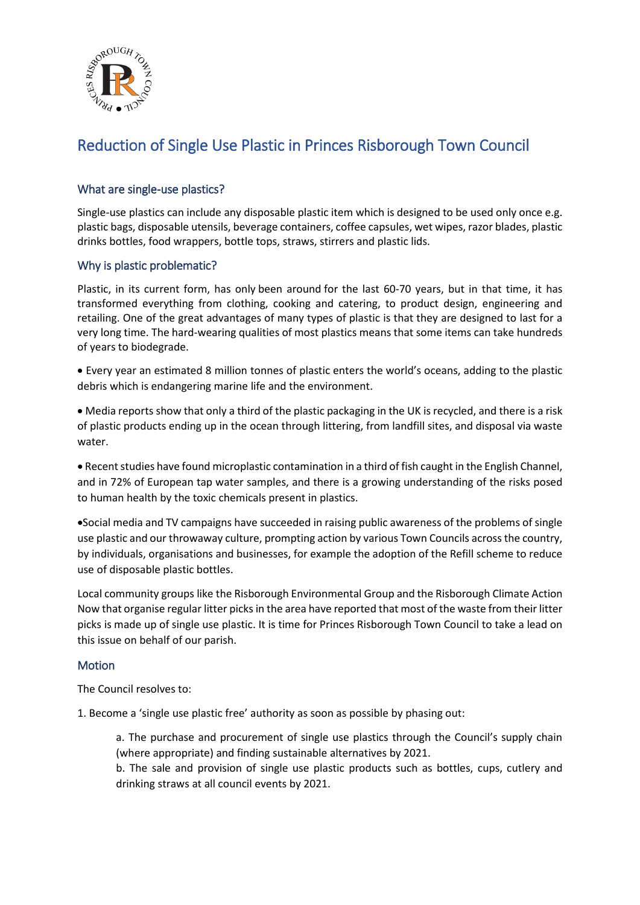

## Reduction of Single Use Plastic in Princes Risborough Town Council

## What are single-use plastics?

Single-use plastics can include any disposable plastic item which is designed to be used only once e.g. plastic bags, disposable utensils, beverage containers, coffee capsules, wet wipes, razor blades, plastic drinks bottles, food wrappers, bottle tops, straws, stirrers and plastic lids.

## Why is plastic problematic?

Plastic, in its current form, has only been around for the last 60-70 years, but in that time, it has transformed everything from clothing, cooking and catering, to product design, engineering and retailing. One of the great advantages of many types of plastic is that they are designed to last for a very long time. The hard-wearing qualities of most plastics means that some items can take hundreds of years to biodegrade.

• Every year an estimated 8 million tonnes of plastic enters the world's oceans, adding to the plastic debris which is endangering marine life and the environment.

• Media reports show that only a third of the plastic packaging in the UK is recycled, and there is a risk of plastic products ending up in the ocean through littering, from landfill sites, and disposal via waste water.

• Recent studies have found microplastic contamination in a third of fish caught in the English Channel, and in 72% of European tap water samples, and there is a growing understanding of the risks posed to human health by the toxic chemicals present in plastics.

•Social media and TV campaigns have succeeded in raising public awareness of the problems of single use plastic and our throwaway culture, prompting action by various Town Councils across the country, by individuals, organisations and businesses, for example the adoption of the Refill scheme to reduce use of disposable plastic bottles.

Local community groups like the Risborough Environmental Group and the Risborough Climate Action Now that organise regular litter picks in the area have reported that most of the waste from their litter picks is made up of single use plastic. It is time for Princes Risborough Town Council to take a lead on this issue on behalf of our parish.

## **Motion**

The Council resolves to:

1. Become a 'single use plastic free' authority as soon as possible by phasing out:

a. The purchase and procurement of single use plastics through the Council's supply chain (where appropriate) and finding sustainable alternatives by 2021.

b. The sale and provision of single use plastic products such as bottles, cups, cutlery and drinking straws at all council events by 2021.